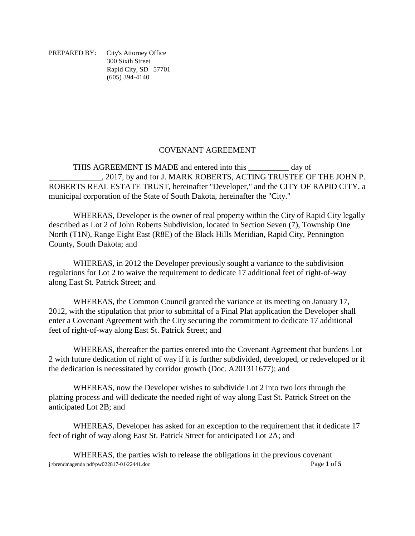PREPARED BY: City's Attorney Office 300 Sixth Street Rapid City, SD 57701 (605) 394-4140

## COVENANT AGREEMENT

THIS AGREEMENT IS MADE and entered into this day of \_\_\_\_\_\_\_\_\_\_\_\_\_, 2017, by and for J. MARK ROBERTS, ACTING TRUSTEE OF THE JOHN P. ROBERTS REAL ESTATE TRUST, hereinafter "Developer," and the CITY OF RAPID CITY, a municipal corporation of the State of South Dakota, hereinafter the "City."

WHEREAS, Developer is the owner of real property within the City of Rapid City legally described as Lot 2 of John Roberts Subdivision, located in Section Seven (7), Township One North (T1N), Range Eight East (R8E) of the Black Hills Meridian, Rapid City, Pennington County, South Dakota; and

WHEREAS, in 2012 the Developer previously sought a variance to the subdivision regulations for Lot 2 to waive the requirement to dedicate 17 additional feet of right-of-way along East St. Patrick Street; and

WHEREAS, the Common Council granted the variance at its meeting on January 17, 2012, with the stipulation that prior to submittal of a Final Plat application the Developer shall enter a Covenant Agreement with the City securing the commitment to dedicate 17 additional feet of right-of-way along East St. Patrick Street; and

WHEREAS, thereafter the parties entered into the Covenant Agreement that burdens Lot 2 with future dedication of right of way if it is further subdivided, developed, or redeveloped or if the dedication is necessitated by corridor growth (Doc. A201311677); and

WHEREAS, now the Developer wishes to subdivide Lot 2 into two lots through the platting process and will dedicate the needed right of way along East St. Patrick Street on the anticipated Lot 2B; and

WHEREAS, Developer has asked for an exception to the requirement that it dedicate 17 feet of right of way along East St. Patrick Street for anticipated Lot 2A; and

j:\brenda\agenda pdf\pw022817-01\22441.doc Page **1** of **5** WHEREAS, the parties wish to release the obligations in the previous covenant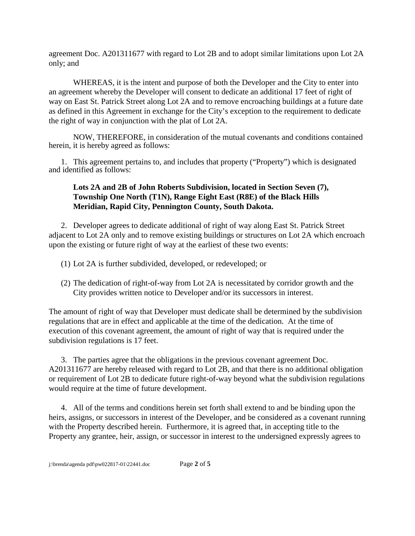agreement Doc. A201311677 with regard to Lot 2B and to adopt similar limitations upon Lot 2A only; and

WHEREAS, it is the intent and purpose of both the Developer and the City to enter into an agreement whereby the Developer will consent to dedicate an additional 17 feet of right of way on East St. Patrick Street along Lot 2A and to remove encroaching buildings at a future date as defined in this Agreement in exchange for the City's exception to the requirement to dedicate the right of way in conjunction with the plat of Lot 2A.

NOW, THEREFORE, in consideration of the mutual covenants and conditions contained herein, it is hereby agreed as follows:

1. This agreement pertains to, and includes that property ("Property") which is designated and identified as follows:

## **Lots 2A and 2B of John Roberts Subdivision, located in Section Seven (7), Township One North (T1N), Range Eight East (R8E) of the Black Hills Meridian, Rapid City, Pennington County, South Dakota.**

2. Developer agrees to dedicate additional of right of way along East St. Patrick Street adjacent to Lot 2A only and to remove existing buildings or structures on Lot 2A which encroach upon the existing or future right of way at the earliest of these two events:

- (1) Lot 2A is further subdivided, developed, or redeveloped; or
- (2) The dedication of right-of-way from Lot 2A is necessitated by corridor growth and the City provides written notice to Developer and/or its successors in interest.

The amount of right of way that Developer must dedicate shall be determined by the subdivision regulations that are in effect and applicable at the time of the dedication. At the time of execution of this covenant agreement, the amount of right of way that is required under the subdivision regulations is 17 feet.

3. The parties agree that the obligations in the previous covenant agreement Doc. A201311677 are hereby released with regard to Lot 2B, and that there is no additional obligation or requirement of Lot 2B to dedicate future right-of-way beyond what the subdivision regulations would require at the time of future development.

4. All of the terms and conditions herein set forth shall extend to and be binding upon the heirs, assigns, or successors in interest of the Developer, and be considered as a covenant running with the Property described herein. Furthermore, it is agreed that, in accepting title to the Property any grantee, heir, assign, or successor in interest to the undersigned expressly agrees to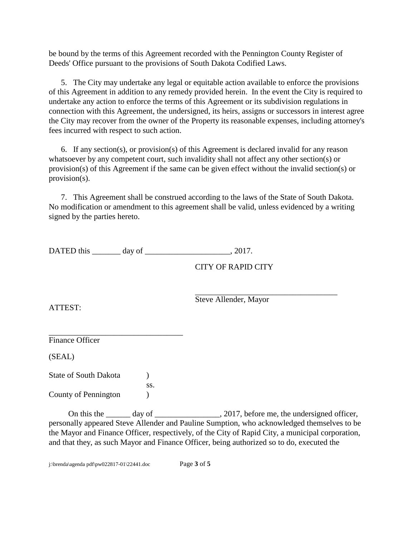be bound by the terms of this Agreement recorded with the Pennington County Register of Deeds' Office pursuant to the provisions of South Dakota Codified Laws.

5. The City may undertake any legal or equitable action available to enforce the provisions of this Agreement in addition to any remedy provided herein. In the event the City is required to undertake any action to enforce the terms of this Agreement or its subdivision regulations in connection with this Agreement, the undersigned, its heirs, assigns or successors in interest agree the City may recover from the owner of the Property its reasonable expenses, including attorney's fees incurred with respect to such action.

6. If any section(s), or provision(s) of this Agreement is declared invalid for any reason whatsoever by any competent court, such invalidity shall not affect any other section(s) or provision(s) of this Agreement if the same can be given effect without the invalid section(s) or provision(s).

7. This Agreement shall be construed according to the laws of the State of South Dakota. No modification or amendment to this agreement shall be valid, unless evidenced by a writing signed by the parties hereto.

DATED this \_\_\_\_\_\_\_ day of \_\_\_\_\_\_\_\_\_\_\_\_\_\_\_\_\_\_\_\_\_, 2017.

CITY OF RAPID CITY

\_\_\_\_\_\_\_\_\_\_\_\_\_\_\_\_\_\_\_\_\_\_\_\_\_\_\_\_\_\_\_\_\_\_\_ Steve Allender, Mayor

ATTEST:

\_\_\_\_\_\_\_\_\_\_\_\_\_\_\_\_\_\_\_\_\_\_\_\_\_\_\_\_\_\_\_\_\_ Finance Officer

(SEAL)

State of South Dakota (1) ss. County of Pennington )

On this the day of  $\qquad \qquad$  2017, before me, the undersigned officer, personally appeared Steve Allender and Pauline Sumption, who acknowledged themselves to be the Mayor and Finance Officer, respectively, of the City of Rapid City, a municipal corporation, and that they, as such Mayor and Finance Officer, being authorized so to do, executed the

j:\brenda\agenda pdf\pw022817-01\22441.doc Page **3** of **5**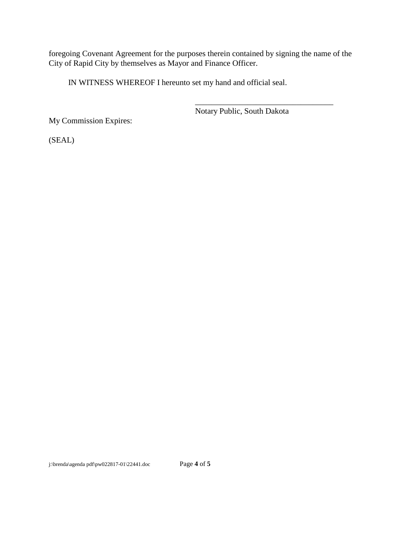foregoing Covenant Agreement for the purposes therein contained by signing the name of the City of Rapid City by themselves as Mayor and Finance Officer.

IN WITNESS WHEREOF I hereunto set my hand and official seal.

Notary Public, South Dakota

\_\_\_\_\_\_\_\_\_\_\_\_\_\_\_\_\_\_\_\_\_\_\_\_\_\_\_\_\_\_\_\_\_\_

My Commission Expires:

(SEAL)